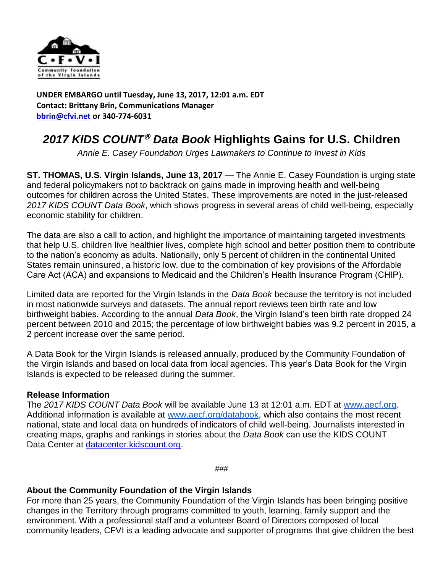

**UNDER EMBARGO until Tuesday, June 13, 2017, 12:01 a.m. EDT Contact: Brittany Brin, Communications Manager [bbrin@cfvi.net](mailto:bbrin@cfvi.net) or 340-774-6031**

## 2017 KIDS COUNT<sup>®</sup> Data Book Highlights Gains for U.S. Children

*Annie E. Casey Foundation Urges Lawmakers to Continue to Invest in Kids*

**ST. THOMAS, U.S. Virgin Islands, June 13, 2017** — The Annie E. Casey Foundation is urging state and federal policymakers not to backtrack on gains made in improving health and well-being outcomes for children across the United States. These improvements are noted in the just-released *2017 KIDS COUNT Data Book*, which shows progress in several areas of child well-being, especially economic stability for children.

The data are also a call to action, and highlight the importance of maintaining targeted investments that help U.S. children live healthier lives, complete high school and better position them to contribute to the nation's economy as adults. Nationally, only 5 percent of children in the continental United States remain uninsured, a historic low, due to the combination of key provisions of the Affordable Care Act (ACA) and expansions to Medicaid and the Children's Health Insurance Program (CHIP).

Limited data are reported for the Virgin Islands in the *Data Book* because the territory is not included in most nationwide surveys and datasets. The annual report reviews teen birth rate and low birthweight babies. According to the annual *Data Book*, the Virgin Island's teen birth rate dropped 24 percent between 2010 and 2015; the percentage of low birthweight babies was 9.2 percent in 2015, a 2 percent increase over the same period.

A Data Book for the Virgin Islands is released annually, produced by the Community Foundation of the Virgin Islands and based on local data from local agencies. This year's Data Book for the Virgin Islands is expected to be released during the summer.

## **Release Information**

The *2017 KIDS COUNT Data Book* will be available June 13 at 12:01 a.m. EDT at [www.aecf.org.](http://www.aecf.org/) Additional information is available at [www.aecf.org/databook,](http://databook.kidscount.org/) which also contains the most recent national, state and local data on hundreds of indicators of child well-being. Journalists interested in creating maps, graphs and rankings in stories about the *Data Book* can use the KIDS COUNT Data Center at [datacenter.kidscount.org.](http://datacenter.kidscount.org/)

*###*

## **About the Community Foundation of the Virgin Islands**

For more than 25 years, the Community Foundation of the Virgin Islands has been bringing positive changes in the Territory through programs committed to youth, learning, family support and the environment. With a professional staff and a volunteer Board of Directors composed of local community leaders, CFVI is a leading advocate and supporter of programs that give children the best